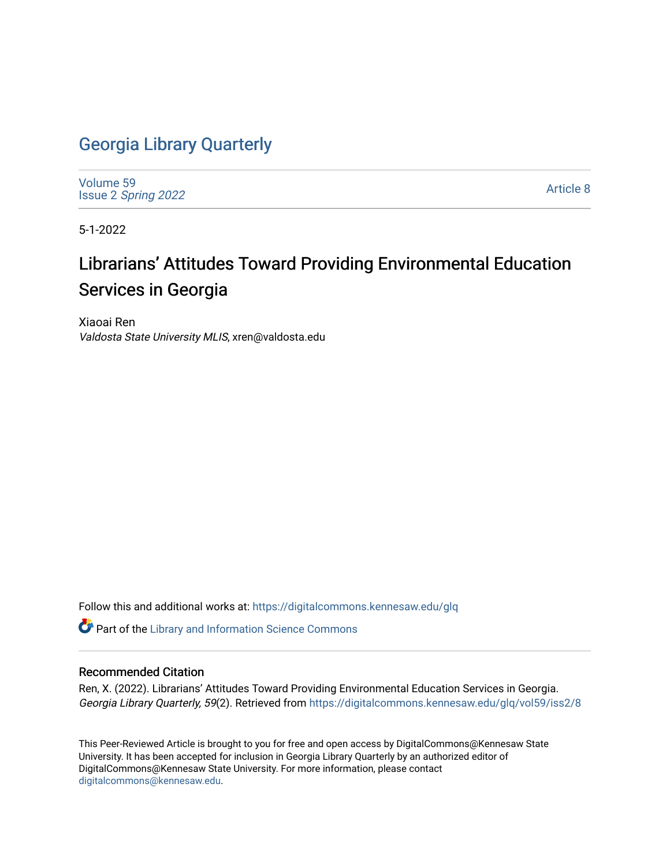## [Georgia Library Quarterly](https://digitalcommons.kennesaw.edu/glq)

[Volume 59](https://digitalcommons.kennesaw.edu/glq/vol59) Issue 2 [Spring 2022](https://digitalcommons.kennesaw.edu/glq/vol59/iss2) 

[Article 8](https://digitalcommons.kennesaw.edu/glq/vol59/iss2/8) 

5-1-2022

## Librarians' Attitudes Toward Providing Environmental Education Services in Georgia

Xiaoai Ren Valdosta State University MLIS, xren@valdosta.edu

Follow this and additional works at: [https://digitalcommons.kennesaw.edu/glq](https://digitalcommons.kennesaw.edu/glq?utm_source=digitalcommons.kennesaw.edu%2Fglq%2Fvol59%2Fiss2%2F8&utm_medium=PDF&utm_campaign=PDFCoverPages) 

**Part of the Library and Information Science Commons** 

#### Recommended Citation

Ren, X. (2022). Librarians' Attitudes Toward Providing Environmental Education Services in Georgia. Georgia Library Quarterly, 59(2). Retrieved from [https://digitalcommons.kennesaw.edu/glq/vol59/iss2/8](https://digitalcommons.kennesaw.edu/glq/vol59/iss2/8?utm_source=digitalcommons.kennesaw.edu%2Fglq%2Fvol59%2Fiss2%2F8&utm_medium=PDF&utm_campaign=PDFCoverPages)

This Peer-Reviewed Article is brought to you for free and open access by DigitalCommons@Kennesaw State University. It has been accepted for inclusion in Georgia Library Quarterly by an authorized editor of DigitalCommons@Kennesaw State University. For more information, please contact [digitalcommons@kennesaw.edu.](mailto:digitalcommons@kennesaw.edu)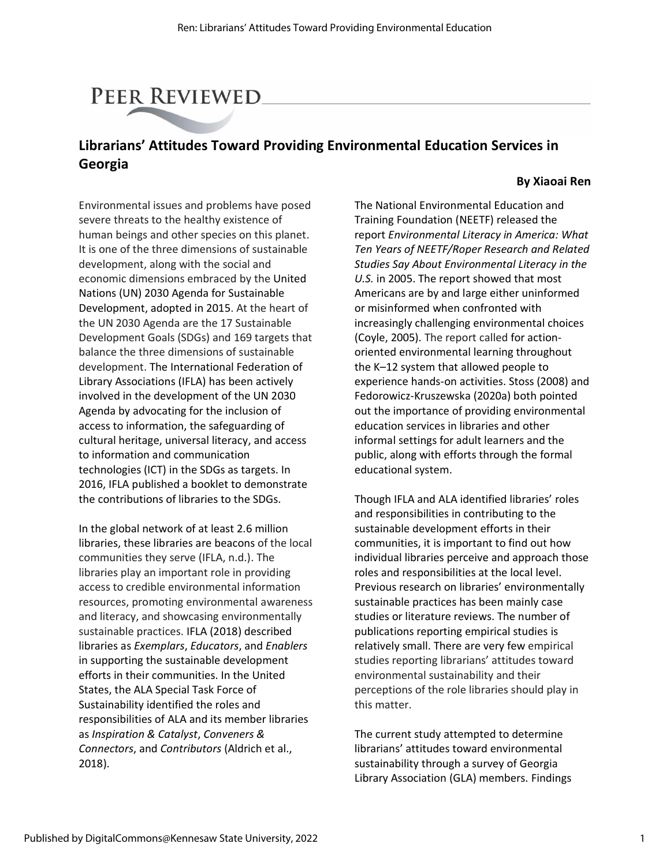# PEER REVIEWED

## **Librarians' Attitudes Toward Providing Environmental Education Services in Georgia**

#### **By Xiaoai Ren**

Environmental issues and problems have posed severe threats to the healthy existence of human beings and other species on this planet. It is one of the three dimensions of sustainable development, along with the social and economic dimensions embraced by the United Nations (UN) 2030 Agenda for Sustainable Development, adopted in 2015. At the heart of the UN 2030 Agenda are the 17 Sustainable Development Goals (SDGs) and 169 targets that balance the three dimensions of sustainable development. The International Federation of Library Associations (IFLA) has been actively involved in the development of the UN 2030 Agenda by advocating for the inclusion of access to information, the safeguarding of cultural heritage, universal literacy, and access to information and communication technologies (ICT) in the SDGs as targets. In 2016, IFLA published a booklet to demonstrate the contributions of libraries to the SDGs.

In the global network of at least 2.6 million libraries, these libraries are beacons of the local communities they serve (IFLA, n.d.). The libraries play an important role in providing access to credible environmental information resources, promoting environmental awareness and literacy, and showcasing environmentally sustainable practices. IFLA (2018) described libraries as *Exemplars*, *Educators*, and *Enablers*  in supporting the sustainable development efforts in their communities. In the United States, the ALA Special Task Force of Sustainability identified the roles and responsibilities of ALA and its member libraries as *Inspiration & Catalyst*, *Conveners & Connectors*, and *Contributors* (Aldrich et al., 2018).

The National Environmental Education and Training Foundation (NEETF) released the report *Environmental Literacy in America: What Ten Years of NEETF/Roper Research and Related Studies Say About Environmental Literacy in the U.S.* in 2005. The report showed that most Americans are by and large either uninformed or misinformed when confronted with increasingly challenging environmental choices (Coyle, 2005). The report called for actionoriented environmental learning throughout the K–12 system that allowed people to experience hands-on activities. Stoss (2008) and Fedorowicz-Kruszewska (2020a) both pointed out the importance of providing environmental education services in libraries and other informal settings for adult learners and the public, along with efforts through the formal educational system.

Though IFLA and ALA identified libraries' roles and responsibilities in contributing to the sustainable development efforts in their communities, it is important to find out how individual libraries perceive and approach those roles and responsibilities at the local level. Previous research on libraries' environmentally sustainable practices has been mainly case studies or literature reviews. The number of publications reporting empirical studies is relatively small. There are very few empirical studies reporting librarians' attitudes toward environmental sustainability and their perceptions of the role libraries should play in this matter.

The current study attempted to determine librarians' attitudes toward environmental sustainability through a survey of Georgia Library Association (GLA) members. Findings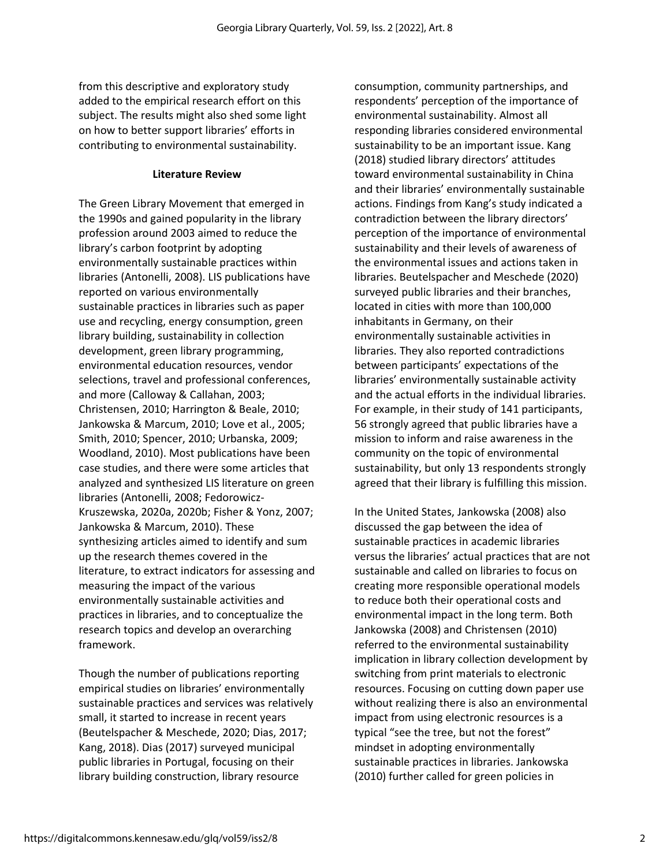from this descriptive and exploratory study added to the empirical research effort on this subject. The results might also shed some light on how to better support libraries' efforts in contributing to environmental sustainability.

#### **Literature Review**

The Green Library Movement that emerged in the 1990s and gained popularity in the library profession around 2003 aimed to reduce the library's carbon footprint by adopting environmentally sustainable practices within libraries (Antonelli, 2008). LIS publications have reported on various environmentally sustainable practices in libraries such as paper use and recycling, energy consumption, green library building, sustainability in collection development, green library programming, environmental education resources, vendor selections, travel and professional conferences, and more (Calloway & Callahan, 2003; Christensen, 2010; Harrington & Beale, 2010; Jankowska & Marcum, 2010; Love et al., 2005; Smith, 2010; Spencer, 2010; Urbanska, 2009; Woodland, 2010). Most publications have been case studies, and there were some articles that analyzed and synthesized LIS literature on green libraries (Antonelli, 2008; Fedorowicz-Kruszewska, 2020a, 2020b; Fisher & Yonz, 2007; Jankowska & Marcum, 2010). These synthesizing articles aimed to identify and sum up the research themes covered in the literature, to extract indicators for assessing and measuring the impact of the various environmentally sustainable activities and practices in libraries, and to conceptualize the research topics and develop an overarching framework.

Though the number of publications reporting empirical studies on libraries' environmentally sustainable practices and services was relatively small, it started to increase in recent years (Beutelspacher & Meschede, 2020; Dias, 2017; Kang, 2018). Dias (2017) surveyed municipal public libraries in Portugal, focusing on their library building construction, library resource

consumption, community partnerships, and respondents' perception of the importance of environmental sustainability. Almost all responding libraries considered environmental sustainability to be an important issue. Kang (2018) studied library directors' attitudes toward environmental sustainability in China and their libraries' environmentally sustainable actions. Findings from Kang's study indicated a contradiction between the library directors' perception of the importance of environmental sustainability and their levels of awareness of the environmental issues and actions taken in libraries. Beutelspacher and Meschede (2020) surveyed public libraries and their branches, located in cities with more than 100,000 inhabitants in Germany, on their environmentally sustainable activities in libraries. They also reported contradictions between participants' expectations of the libraries' environmentally sustainable activity and the actual efforts in the individual libraries. For example, in their study of 141 participants, 56 strongly agreed that public libraries have a mission to inform and raise awareness in the community on the topic of environmental sustainability, but only 13 respondents strongly agreed that their library is fulfilling this mission.

In the United States, Jankowska (2008) also discussed the gap between the idea of sustainable practices in academic libraries versus the libraries' actual practices that are not sustainable and called on libraries to focus on creating more responsible operational models to reduce both their operational costs and environmental impact in the long term. Both Jankowska (2008) and Christensen (2010) referred to the environmental sustainability implication in library collection development by switching from print materials to electronic resources. Focusing on cutting down paper use without realizing there is also an environmental impact from using electronic resources is a typical "see the tree, but not the forest" mindset in adopting environmentally sustainable practices in libraries. Jankowska (2010) further called for green policies in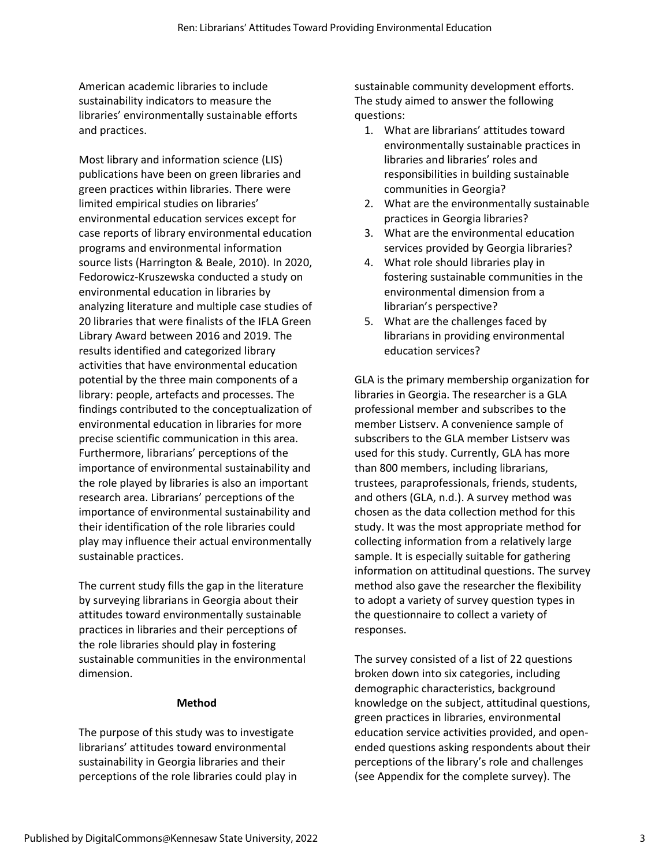American academic libraries to include sustainability indicators to measure the libraries' environmentally sustainable efforts and practices.

Most library and information science (LIS) publications have been on green libraries and green practices within libraries. There were limited empirical studies on libraries' environmental education services except for case reports of library environmental education programs and environmental information source lists (Harrington & Beale, 2010). In 2020, Fedorowicz-Kruszewska conducted a study on environmental education in libraries by analyzing literature and multiple case studies of 20 libraries that were finalists of the IFLA Green Library Award between 2016 and 2019. The results identified and categorized library activities that have environmental education potential by the three main components of a library: people, artefacts and processes. The findings contributed to the conceptualization of environmental education in libraries for more precise scientific communication in this area. Furthermore, librarians' perceptions of the importance of environmental sustainability and the role played by libraries is also an important research area. Librarians' perceptions of the importance of environmental sustainability and their identification of the role libraries could play may influence their actual environmentally sustainable practices.

The current study fills the gap in the literature by surveying librarians in Georgia about their attitudes toward environmentally sustainable practices in libraries and their perceptions of the role libraries should play in fostering sustainable communities in the environmental dimension.

#### **Method**

The purpose of this study was to investigate librarians' attitudes toward environmental sustainability in Georgia libraries and their perceptions of the role libraries could play in sustainable community development efforts. The study aimed to answer the following questions:

- 1. What are librarians' attitudes toward environmentally sustainable practices in libraries and libraries' roles and responsibilities in building sustainable communities in Georgia?
- 2. What are the environmentally sustainable practices in Georgia libraries?
- 3. What are the environmental education services provided by Georgia libraries?
- 4. What role should libraries play in fostering sustainable communities in the environmental dimension from a librarian's perspective?
- 5. What are the challenges faced by librarians in providing environmental education services?

GLA is the primary membership organization for libraries in Georgia. The researcher is a GLA professional member and subscribes to the member Listserv. A convenience sample of subscribers to the GLA member Listserv was used for this study. Currently, GLA has more than 800 members, including librarians, trustees, paraprofessionals, friends, students, and others (GLA, n.d.). A survey method was chosen as the data collection method for this study. It was the most appropriate method for collecting information from a relatively large sample. It is especially suitable for gathering information on attitudinal questions. The survey method also gave the researcher the flexibility to adopt a variety of survey question types in the questionnaire to collect a variety of responses.

The survey consisted of a list of 22 questions broken down into six categories, including demographic characteristics, background knowledge on the subject, attitudinal questions, green practices in libraries, environmental education service activities provided, and openended questions asking respondents about their perceptions of the library's role and challenges (see Appendix for the complete survey). The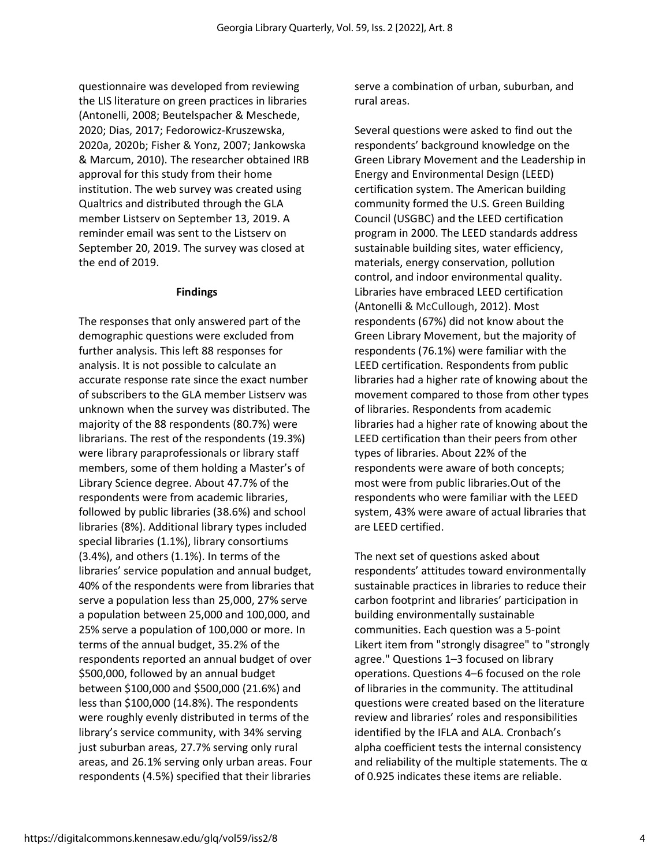questionnaire was developed from reviewing the LIS literature on green practices in libraries (Antonelli, 2008; Beutelspacher & Meschede, 2020; Dias, 2017; Fedorowicz-Kruszewska, 2020a, 2020b; Fisher & Yonz, 2007; Jankowska & Marcum, 2010). The researcher obtained IRB approval for this study from their home institution. The web survey was created using Qualtrics and distributed through the GLA member Listserv on September 13, 2019. A reminder email was sent to the Listserv on September 20, 2019. The survey was closed at the end of 2019.

#### **Findings**

The responses that only answered part of the demographic questions were excluded from further analysis. This left 88 responses for analysis. It is not possible to calculate an accurate response rate since the exact number of subscribers to the GLA member Listserv was unknown when the survey was distributed. The majority of the 88 respondents (80.7%) were librarians. The rest of the respondents (19.3%) were library paraprofessionals or library staff members, some of them holding a Master's of Library Science degree. About 47.7% of the respondents were from academic libraries, followed by public libraries (38.6%) and school libraries (8%). Additional library types included special libraries (1.1%), library consortiums (3.4%), and others (1.1%). In terms of the libraries' service population and annual budget, 40% of the respondents were from libraries that serve a population less than 25,000, 27% serve a population between 25,000 and 100,000, and 25% serve a population of 100,000 or more. In terms of the annual budget, 35.2% of the respondents reported an annual budget of over \$500,000, followed by an annual budget between \$100,000 and \$500,000 (21.6%) and less than \$100,000 (14.8%). The respondents were roughly evenly distributed in terms of the library's service community, with 34% serving just suburban areas, 27.7% serving only rural areas, and 26.1% serving only urban areas. Four respondents (4.5%) specified that their libraries

serve a combination of urban, suburban, and rural areas.

Several questions were asked to find out the respondents' background knowledge on the Green Library Movement and the Leadership in Energy and Environmental Design (LEED) certification system. The American building community formed the U.S. Green Building Council (USGBC) and the LEED certification program in 2000. The LEED standards address sustainable building sites, water efficiency, materials, energy conservation, pollution control, and indoor environmental quality. Libraries have embraced LEED certification (Antonelli & McCullough, 2012). Most respondents (67%) did not know about the Green Library Movement, but the majority of respondents (76.1%) were familiar with the LEED certification. Respondents from public libraries had a higher rate of knowing about the movement compared to those from other types of libraries. Respondents from academic libraries had a higher rate of knowing about the LEED certification than their peers from other types of libraries. About 22% of the respondents were aware of both concepts; most were from public libraries.Out of the respondents who were familiar with the LEED system, 43% were aware of actual libraries that are LEED certified.

The next set of questions asked about respondents' attitudes toward environmentally sustainable practices in libraries to reduce their carbon footprint and libraries' participation in building environmentally sustainable communities. Each question was a 5-point Likert item from "strongly disagree" to "strongly agree." Questions 1–3 focused on library operations. Questions 4–6 focused on the role of libraries in the community. The attitudinal questions were created based on the literature review and libraries' roles and responsibilities identified by the IFLA and ALA. Cronbach's alpha coefficient tests the internal consistency and reliability of the multiple statements. The  $\alpha$ of 0.925 indicates these items are reliable.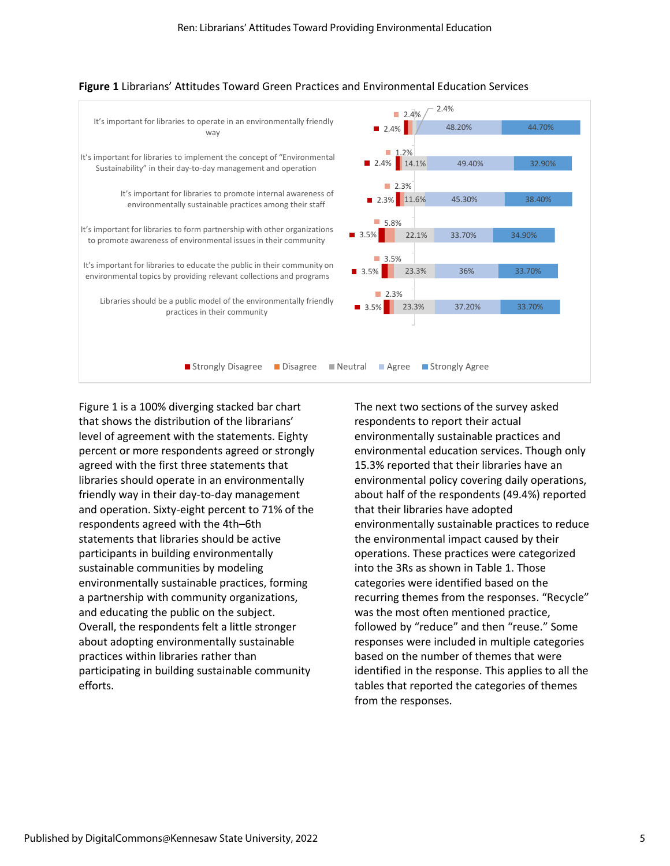

#### **Figure 1** Librarians' Attitudes Toward Green Practices and Environmental Education Services

Figure 1 is a 100% diverging stacked bar chart that shows the distribution of the librarians' level of agreement with the statements. Eighty percent or more respondents agreed or strongly agreed with the first three statements that libraries should operate in an environmentally friendly way in their day-to-day management and operation. Sixty-eight percent to 71% of the respondents agreed with the 4th–6th statements that libraries should be active participants in building environmentally sustainable communities by modeling environmentally sustainable practices, forming a partnership with community organizations, and educating the public on the subject. Overall, the respondents felt a little stronger about adopting environmentally sustainable practices within libraries rather than participating in building sustainable community efforts.

The next two sections of the survey asked respondents to report their actual environmentally sustainable practices and environmental education services. Though only 15.3% reported that their libraries have an environmental policy covering daily operations, about half of the respondents (49.4%) reported that their libraries have adopted environmentally sustainable practices to reduce the environmental impact caused by their operations. These practices were categorized into the 3Rs as shown in Table 1. Those categories were identified based on the recurring themes from the responses. "Recycle" was the most often mentioned practice, followed by "reduce" and then "reuse." Some responses were included in multiple categories based on the number of themes that were identified in the response. This applies to all the tables that reported the categories of themes from the responses.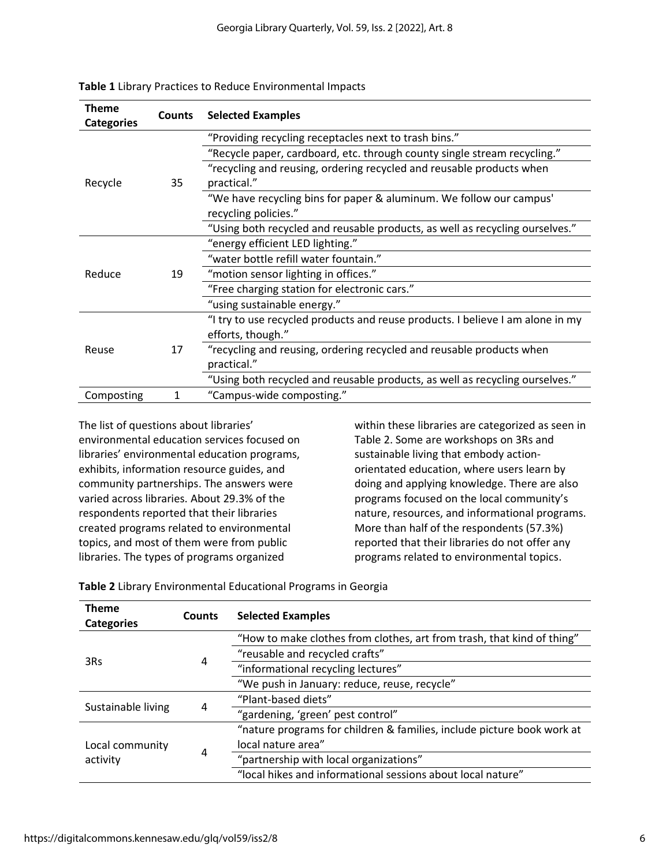| <b>Theme</b><br><b>Categories</b> | Counts | <b>Selected Examples</b>                                                            |
|-----------------------------------|--------|-------------------------------------------------------------------------------------|
|                                   |        | "Providing recycling receptacles next to trash bins."                               |
|                                   |        | "Recycle paper, cardboard, etc. through county single stream recycling."            |
| Recycle                           | 35     | "recycling and reusing, ordering recycled and reusable products when<br>practical." |
|                                   |        | "We have recycling bins for paper & aluminum. We follow our campus'                 |
|                                   |        | recycling policies."                                                                |
|                                   |        | "Using both recycled and reusable products, as well as recycling ourselves."        |
|                                   |        | "energy efficient LED lighting."                                                    |
|                                   |        | "water bottle refill water fountain."                                               |
| Reduce                            | 19     | "motion sensor lighting in offices."                                                |
|                                   |        | "Free charging station for electronic cars."                                        |
|                                   |        | "using sustainable energy."                                                         |
|                                   |        | "I try to use recycled products and reuse products. I believe I am alone in my      |
|                                   |        | efforts, though."                                                                   |
| Reuse                             | 17     | "recycling and reusing, ordering recycled and reusable products when<br>practical." |
|                                   |        | "Using both recycled and reusable products, as well as recycling ourselves."        |
| Composting                        | 1      | "Campus-wide composting."                                                           |

|  |  |  |  |  | Table 1 Library Practices to Reduce Environmental Impacts |  |
|--|--|--|--|--|-----------------------------------------------------------|--|
|--|--|--|--|--|-----------------------------------------------------------|--|

The list of questions about libraries' environmental education services focused on libraries' environmental education programs, exhibits, information resource guides, and community partnerships. The answers were varied across libraries. About 29.3% of the respondents reported that their libraries created programs related to environmental topics, and most of them were from public libraries. The types of programs organized

within these libraries are categorized as seen in Table 2. Some are workshops on 3Rs and sustainable living that embody actionorientated education, where users learn by doing and applying knowledge. There are also programs focused on the local community's nature, resources, and informational programs. More than half of the respondents (57.3%) reported that their libraries do not offer any programs related to environmental topics.

| <b>Theme</b><br><b>Categories</b> | <b>Counts</b> | <b>Selected Examples</b>                                               |
|-----------------------------------|---------------|------------------------------------------------------------------------|
|                                   |               | "How to make clothes from clothes, art from trash, that kind of thing" |
|                                   |               | "reusable and recycled crafts"                                         |
| 3Rs                               | 4             | "informational recycling lectures"                                     |
|                                   |               | "We push in January: reduce, reuse, recycle"                           |
| Sustainable living                |               | "Plant-based diets"                                                    |
|                                   | 4             | "gardening, 'green' pest control"                                      |
|                                   |               | "nature programs for children & families, include picture book work at |
| Local community                   | 4             | local nature area"                                                     |
| activity                          |               | "partnership with local organizations"                                 |
|                                   |               | "local hikes and informational sessions about local nature"            |

**Table 2** Library Environmental Educational Programs in Georgia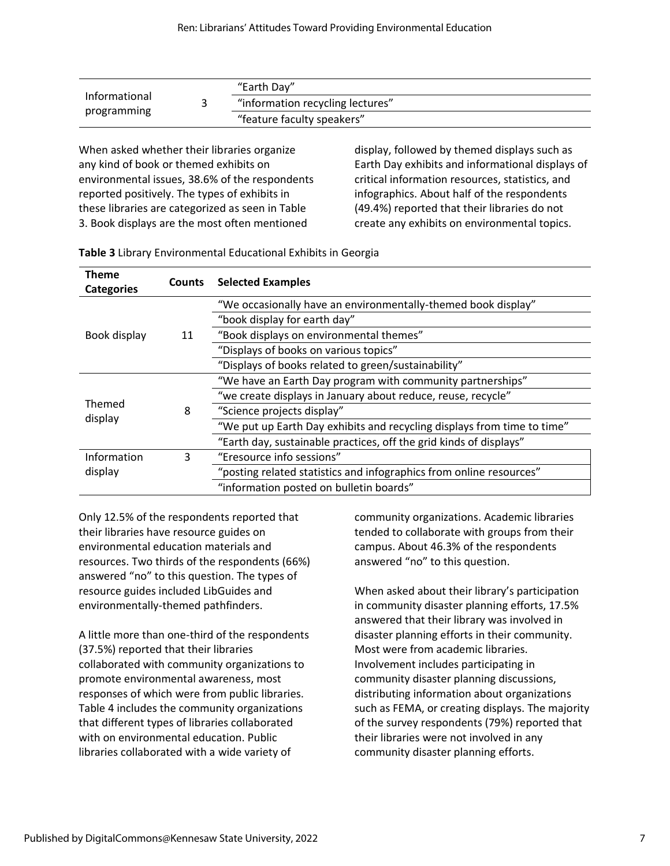|               | "Earth Day"                      |
|---------------|----------------------------------|
| Informational | "information recycling lectures" |
| programming   | "feature faculty speakers"       |

When asked whether their libraries organize any kind of book or themed exhibits on environmental issues, 38.6% of the respondents reported positively. The types of exhibits in these libraries are categorized as seen in Table 3. Book displays are the most often mentioned

display, followed by themed displays such as Earth Day exhibits and informational displays of critical information resources, statistics, and infographics. About half of the respondents (49.4%) reported that their libraries do not create any exhibits on environmental topics.

| <b>Theme</b><br><b>Categories</b> | <b>Counts</b> | <b>Selected Examples</b>                                                |
|-----------------------------------|---------------|-------------------------------------------------------------------------|
|                                   |               | "We occasionally have an environmentally-themed book display"           |
|                                   |               | "book display for earth day"                                            |
| Book display                      | 11            | "Book displays on environmental themes"                                 |
|                                   |               | "Displays of books on various topics"                                   |
|                                   |               | "Displays of books related to green/sustainability"                     |
|                                   |               | "We have an Earth Day program with community partnerships"              |
| <b>Themed</b>                     |               | "we create displays in January about reduce, reuse, recycle"            |
| display                           | 8             | "Science projects display"                                              |
|                                   |               | "We put up Earth Day exhibits and recycling displays from time to time" |
|                                   |               | "Earth day, sustainable practices, off the grid kinds of displays"      |
| Information                       | 3             | "Eresource info sessions"                                               |
| display                           |               | "posting related statistics and infographics from online resources"     |
|                                   |               | "information posted on bulletin boards"                                 |

**Table 3** Library Environmental Educational Exhibits in Georgia

Only 12.5% of the respondents reported that their libraries have resource guides on environmental education materials and resources. Two thirds of the respondents (66%) answered "no" to this question. The types of resource guides included LibGuides and environmentally-themed pathfinders.

A little more than one-third of the respondents (37.5%) reported that their libraries collaborated with community organizations to promote environmental awareness, most responses of which were from public libraries. Table 4 includes the community organizations that different types of libraries collaborated with on environmental education. Public libraries collaborated with a wide variety of

community organizations. Academic libraries tended to collaborate with groups from their campus. About 46.3% of the respondents answered "no" to this question.

When asked about their library's participation in community disaster planning efforts, 17.5% answered that their library was involved in disaster planning efforts in their community. Most were from academic libraries. Involvement includes participating in community disaster planning discussions, distributing information about organizations such as FEMA, or creating displays. The majority of the survey respondents (79%) reported that their libraries were not involved in any community disaster planning efforts.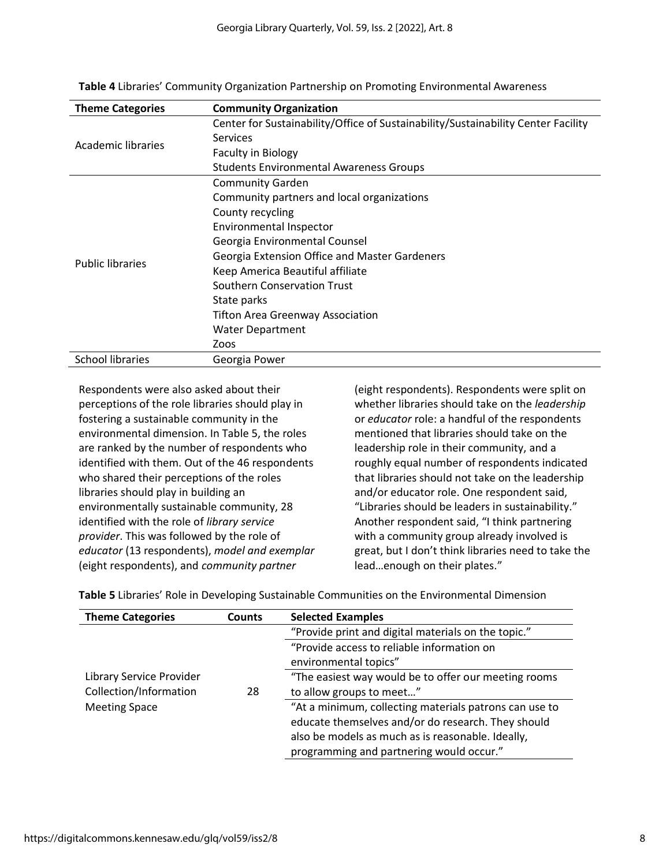| <b>Community Organization</b>                                                     |
|-----------------------------------------------------------------------------------|
| Center for Sustainability/Office of Sustainability/Sustainability Center Facility |
| Services                                                                          |
| <b>Faculty in Biology</b>                                                         |
| <b>Students Environmental Awareness Groups</b>                                    |
| <b>Community Garden</b>                                                           |
| Community partners and local organizations                                        |
| County recycling                                                                  |
| Environmental Inspector                                                           |
| Georgia Environmental Counsel                                                     |
| Georgia Extension Office and Master Gardeners                                     |
| Keep America Beautiful affiliate                                                  |
| Southern Conservation Trust                                                       |
| State parks                                                                       |
| <b>Tifton Area Greenway Association</b>                                           |
| Water Department                                                                  |
| Zoos                                                                              |
| Georgia Power                                                                     |
|                                                                                   |

**Table 4** Libraries' Community Organization Partnership on Promoting Environmental Awareness

Respondents were also asked about their perceptions of the role libraries should play in fostering a sustainable community in the environmental dimension. In Table 5, the roles are ranked by the number of respondents who identified with them. Out of the 46 respondents who shared their perceptions of the roles libraries should play in building an environmentally sustainable community, 28 identified with the role of *library service provider*. This was followed by the role of *educator* (13 respondents), *model and exemplar* (eight respondents), and *community partner*

(eight respondents). Respondents were split on whether libraries should take on the *leadership* or *educator* role: a handful of the respondents mentioned that libraries should take on the leadership role in their community, and a roughly equal number of respondents indicated that libraries should not take on the leadership and/or educator role. One respondent said, "Libraries should be leaders in sustainability." Another respondent said, "I think partnering with a community group already involved is great, but I don't think libraries need to take the lead…enough on their plates."

| <b>Theme Categories</b>  | <b>Counts</b> | <b>Selected Examples</b>                               |
|--------------------------|---------------|--------------------------------------------------------|
|                          |               | "Provide print and digital materials on the topic."    |
|                          |               | "Provide access to reliable information on             |
|                          |               | environmental topics"                                  |
| Library Service Provider |               | "The easiest way would be to offer our meeting rooms   |
| Collection/Information   | 28            | to allow groups to meet"                               |
| <b>Meeting Space</b>     |               | "At a minimum, collecting materials patrons can use to |
|                          |               | educate themselves and/or do research. They should     |
|                          |               | also be models as much as is reasonable. Ideally,      |
|                          |               | programming and partnering would occur."               |

**Table 5** Libraries' Role in Developing Sustainable Communities on the Environmental Dimension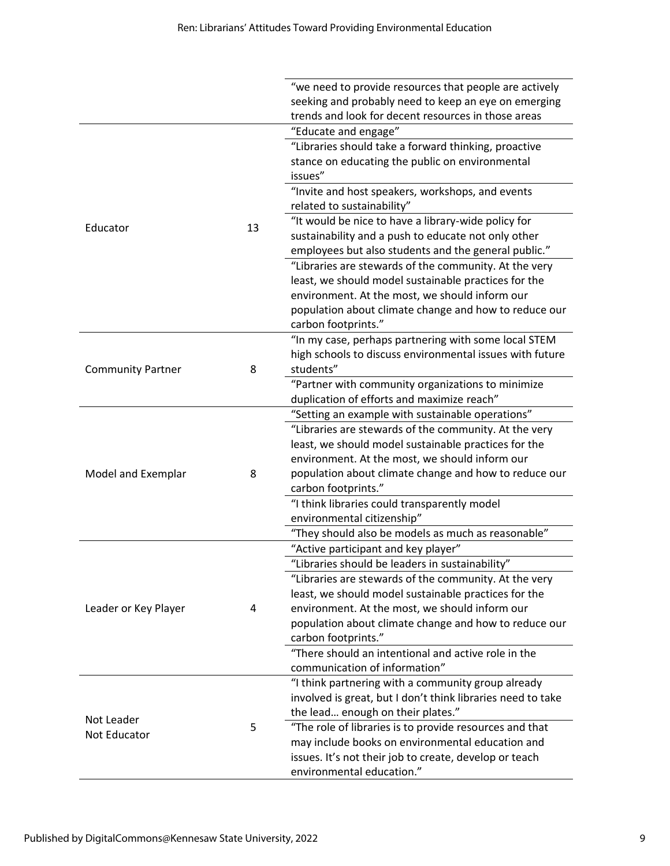|                               | "we need to provide resources that people are actively      |
|-------------------------------|-------------------------------------------------------------|
|                               | seeking and probably need to keep an eye on emerging        |
|                               | trends and look for decent resources in those areas         |
|                               | "Educate and engage"                                        |
|                               | "Libraries should take a forward thinking, proactive        |
|                               | stance on educating the public on environmental             |
|                               | issues"                                                     |
|                               | "Invite and host speakers, workshops, and events            |
|                               | related to sustainability"                                  |
|                               | "It would be nice to have a library-wide policy for         |
| 13<br>Educator                | sustainability and a push to educate not only other         |
|                               | employees but also students and the general public."        |
|                               | "Libraries are stewards of the community. At the very       |
|                               | least, we should model sustainable practices for the        |
|                               | environment. At the most, we should inform our              |
|                               | population about climate change and how to reduce our       |
|                               | carbon footprints."                                         |
|                               | "In my case, perhaps partnering with some local STEM        |
|                               | high schools to discuss environmental issues with future    |
| <b>Community Partner</b><br>8 | students"                                                   |
|                               | "Partner with community organizations to minimize           |
|                               | duplication of efforts and maximize reach"                  |
|                               | "Setting an example with sustainable operations"            |
|                               | "Libraries are stewards of the community. At the very       |
|                               | least, we should model sustainable practices for the        |
|                               | environment. At the most, we should inform our              |
| Model and Exemplar<br>8       | population about climate change and how to reduce our       |
|                               | carbon footprints."                                         |
|                               | "I think libraries could transparently model                |
|                               | environmental citizenship"                                  |
|                               | "They should also be models as much as reasonable"          |
|                               | "Active participant and key player"                         |
|                               | "Libraries should be leaders in sustainability"             |
|                               | "Libraries are stewards of the community. At the very       |
|                               | least, we should model sustainable practices for the        |
| Leader or Key Player<br>4     | environment. At the most, we should inform our              |
|                               | population about climate change and how to reduce our       |
|                               | carbon footprints."                                         |
|                               | "There should an intentional and active role in the         |
|                               | communication of information"                               |
|                               | "I think partnering with a community group already          |
|                               | involved is great, but I don't think libraries need to take |
|                               | the lead enough on their plates."                           |
| Not Leader<br>5               | "The role of libraries is to provide resources and that     |
| Not Educator                  | may include books on environmental education and            |
|                               | issues. It's not their job to create, develop or teach      |
|                               | environmental education."                                   |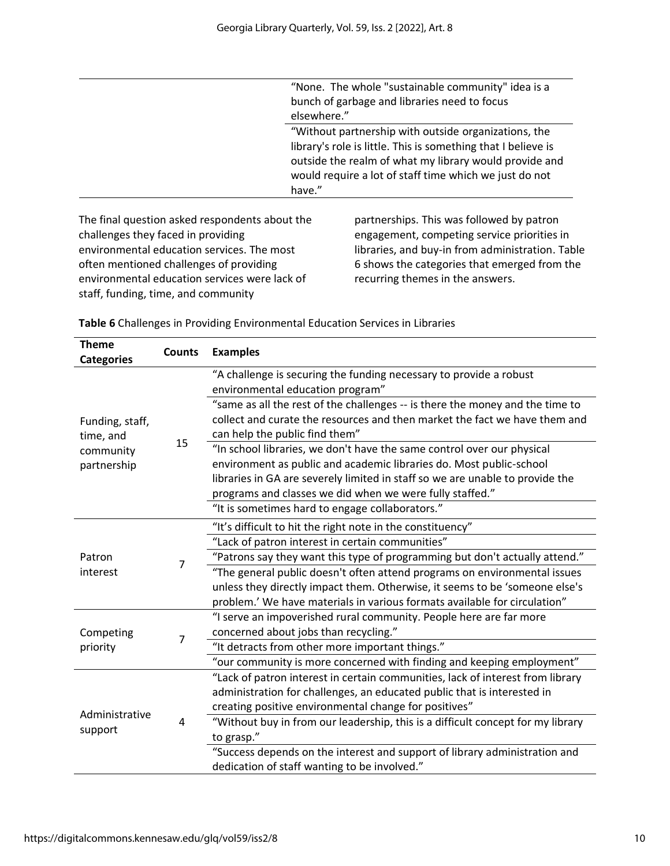| "None. The whole "sustainable community" idea is a                                                                                                                                          |
|---------------------------------------------------------------------------------------------------------------------------------------------------------------------------------------------|
| bunch of garbage and libraries need to focus                                                                                                                                                |
| elsewhere."                                                                                                                                                                                 |
| "Without partnership with outside organizations, the                                                                                                                                        |
| library's role is little. This is something that I believe is<br>outside the realm of what my library would provide and<br>would require a lot of staff time which we just do not<br>have." |
|                                                                                                                                                                                             |

The final question asked respondents about the challenges they faced in providing environmental education services. The most often mentioned challenges of providing environmental education services were lack of staff, funding, time, and community

partnerships. This was followed by patron engagement, competing service priorities in libraries, and buy-in from administration. Table 6 shows the categories that emerged from the recurring themes in the answers.

| <b>Theme</b><br><b>Categories</b> | <b>Counts</b>  | <b>Examples</b>                                                                                              |
|-----------------------------------|----------------|--------------------------------------------------------------------------------------------------------------|
|                                   |                | "A challenge is securing the funding necessary to provide a robust<br>environmental education program"       |
|                                   |                | "same as all the rest of the challenges -- is there the money and the time to                                |
| Funding, staff,                   |                | collect and curate the resources and then market the fact we have them and<br>can help the public find them" |
| time, and<br>community            | 15             | "In school libraries, we don't have the same control over our physical                                       |
| partnership                       |                | environment as public and academic libraries do. Most public-school                                          |
|                                   |                | libraries in GA are severely limited in staff so we are unable to provide the                                |
|                                   |                | programs and classes we did when we were fully staffed."                                                     |
|                                   |                | "It is sometimes hard to engage collaborators."                                                              |
|                                   |                | "It's difficult to hit the right note in the constituency"                                                   |
|                                   |                | "Lack of patron interest in certain communities"                                                             |
| Patron                            | $\overline{7}$ | "Patrons say they want this type of programming but don't actually attend."                                  |
| interest                          |                | "The general public doesn't often attend programs on environmental issues                                    |
|                                   |                | unless they directly impact them. Otherwise, it seems to be 'someone else's                                  |
|                                   |                | problem.' We have materials in various formats available for circulation"                                    |
|                                   |                | "I serve an impoverished rural community. People here are far more                                           |
| Competing                         | $\overline{7}$ | concerned about jobs than recycling."                                                                        |
| priority                          |                | "It detracts from other more important things."                                                              |
|                                   |                | "our community is more concerned with finding and keeping employment"                                        |
|                                   |                | "Lack of patron interest in certain communities, lack of interest from library                               |
|                                   |                | administration for challenges, an educated public that is interested in                                      |
| Administrative                    |                | creating positive environmental change for positives"                                                        |
| support                           | 4              | "Without buy in from our leadership, this is a difficult concept for my library<br>to grasp."                |
|                                   |                | "Success depends on the interest and support of library administration and                                   |
|                                   |                | dedication of staff wanting to be involved."                                                                 |
|                                   |                |                                                                                                              |

**Table 6** Challenges in Providing Environmental Education Services in Libraries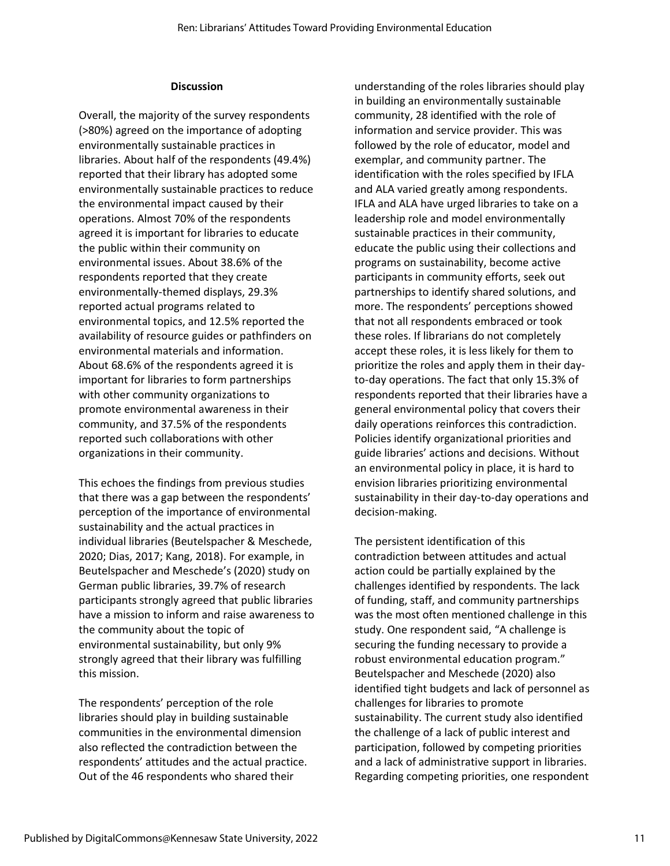#### **Discussion**

Overall, the majority of the survey respondents (>80%) agreed on the importance of adopting environmentally sustainable practices in libraries. About half of the respondents (49.4%) reported that their library has adopted some environmentally sustainable practices to reduce the environmental impact caused by their operations. Almost 70% of the respondents agreed it is important for libraries to educate the public within their community on environmental issues. About 38.6% of the respondents reported that they create environmentally-themed displays, 29.3% reported actual programs related to environmental topics, and 12.5% reported the availability of resource guides or pathfinders on environmental materials and information. About 68.6% of the respondents agreed it is important for libraries to form partnerships with other community organizations to promote environmental awareness in their community, and 37.5% of the respondents reported such collaborations with other organizations in their community.

This echoes the findings from previous studies that there was a gap between the respondents' perception of the importance of environmental sustainability and the actual practices in individual libraries (Beutelspacher & Meschede, 2020; Dias, 2017; Kang, 2018). For example, in Beutelspacher and Meschede's (2020) study on German public libraries, 39.7% of research participants strongly agreed that public libraries have a mission to inform and raise awareness to the community about the topic of environmental sustainability, but only 9% strongly agreed that their library was fulfilling this mission.

The respondents' perception of the role libraries should play in building sustainable communities in the environmental dimension also reflected the contradiction between the respondents' attitudes and the actual practice. Out of the 46 respondents who shared their

understanding of the roles libraries should play in building an environmentally sustainable community, 28 identified with the role of information and service provider. This was followed by the role of educator, model and exemplar, and community partner. The identification with the roles specified by IFLA and ALA varied greatly among respondents. IFLA and ALA have urged libraries to take on a leadership role and model environmentally sustainable practices in their community, educate the public using their collections and programs on sustainability, become active participants in community efforts, seek out partnerships to identify shared solutions, and more. The respondents' perceptions showed that not all respondents embraced or took these roles. If librarians do not completely accept these roles, it is less likely for them to prioritize the roles and apply them in their dayto-day operations. The fact that only 15.3% of respondents reported that their libraries have a general environmental policy that covers their daily operations reinforces this contradiction. Policies identify organizational priorities and guide libraries' actions and decisions. Without an environmental policy in place, it is hard to envision libraries prioritizing environmental sustainability in their day-to-day operations and decision-making.

The persistent identification of this contradiction between attitudes and actual action could be partially explained by the challenges identified by respondents. The lack of funding, staff, and community partnerships was the most often mentioned challenge in this study. One respondent said, "A challenge is securing the funding necessary to provide a robust environmental education program." Beutelspacher and Meschede (2020) also identified tight budgets and lack of personnel as challenges for libraries to promote sustainability. The current study also identified the challenge of a lack of public interest and participation, followed by competing priorities and a lack of administrative support in libraries. Regarding competing priorities, one respondent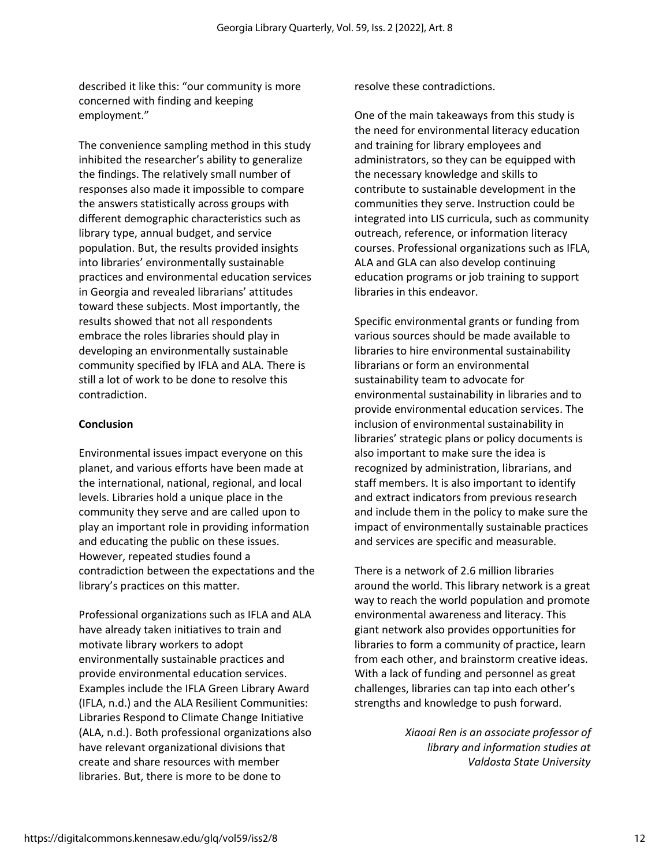described it like this: "our community is more concerned with finding and keeping employment."

The convenience sampling method in this study inhibited the researcher's ability to generalize the findings. The relatively small number of responses also made it impossible to compare the answers statistically across groups with different demographic characteristics such as library type, annual budget, and service population. But, the results provided insights into libraries' environmentally sustainable practices and environmental education services in Georgia and revealed librarians' attitudes toward these subjects. Most importantly, the results showed that not all respondents embrace the roles libraries should play in developing an environmentally sustainable community specified by IFLA and ALA. There is still a lot of work to be done to resolve this contradiction.

#### **Conclusion**

Environmental issues impact everyone on this planet, and various efforts have been made at the international, national, regional, and local levels. Libraries hold a unique place in the community they serve and are called upon to play an important role in providing information and educating the public on these issues. However, repeated studies found a contradiction between the expectations and the library's practices on this matter.

Professional organizations such as IFLA and ALA have already taken initiatives to train and motivate library workers to adopt environmentally sustainable practices and provide environmental education services. Examples include the IFLA Green Library Award (IFLA, n.d.) and the ALA Resilient Communities: Libraries Respond to Climate Change Initiative (ALA, n.d.). Both professional organizations also have relevant organizational divisions that create and share resources with member libraries. But, there is more to be done to

resolve these contradictions.

One of the main takeaways from this study is the need for environmental literacy education and training for library employees and administrators, so they can be equipped with the necessary knowledge and skills to contribute to sustainable development in the communities they serve. Instruction could be integrated into LIS curricula, such as community outreach, reference, or information literacy courses. Professional organizations such as IFLA, ALA and GLA can also develop continuing education programs or job training to support libraries in this endeavor.

Specific environmental grants or funding from various sources should be made available to libraries to hire environmental sustainability librarians or form an environmental sustainability team to advocate for environmental sustainability in libraries and to provide environmental education services. The inclusion of environmental sustainability in libraries' strategic plans or policy documents is also important to make sure the idea is recognized by administration, librarians, and staff members. It is also important to identify and extract indicators from previous research and include them in the policy to make sure the impact of environmentally sustainable practices and services are specific and measurable.

There is a network of 2.6 million libraries around the world. This library network is a great way to reach the world population and promote environmental awareness and literacy. This giant network also provides opportunities for libraries to form a community of practice, learn from each other, and brainstorm creative ideas. With a lack of funding and personnel as great challenges, libraries can tap into each other's strengths and knowledge to push forward.

> *Xiaoai Ren is an associate professor of library and information studies at Valdosta State University*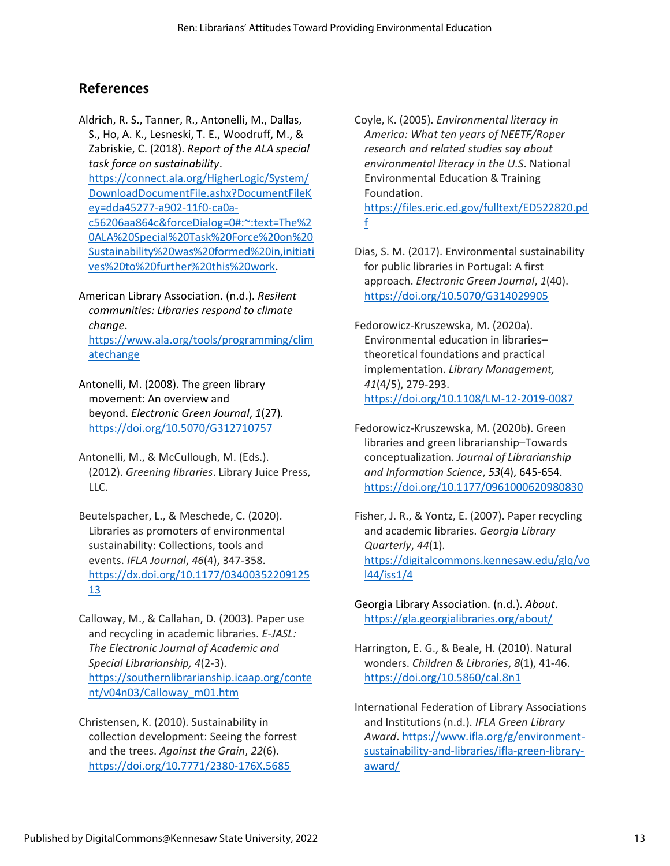## **References**

Aldrich, R. S., Tanner, R., Antonelli, M., Dallas, S., Ho, A. K., Lesneski, T. E., Woodruff, M., & Zabriskie, C. (2018). *Report of the ALA special task force on sustainability*. [https://connect.ala.org/HigherLogic/System/](https://connect.ala.org/HigherLogic/System/DownloadDocumentFile.ashx?DocumentFileKey=dda45277-a902-11f0-ca0a-c56206aa864c&forceDialog=0#:~:text=The%20ALA%20Special%20Task%20Force%20on%20Sustainability%20was%20formed%20in,initiatives%20to%20further%20this%20work) [DownloadDocumentFile.ashx?DocumentFileK](https://connect.ala.org/HigherLogic/System/DownloadDocumentFile.ashx?DocumentFileKey=dda45277-a902-11f0-ca0a-c56206aa864c&forceDialog=0#:~:text=The%20ALA%20Special%20Task%20Force%20on%20Sustainability%20was%20formed%20in,initiatives%20to%20further%20this%20work) [ey=dda45277-a902-11f0-ca0a](https://connect.ala.org/HigherLogic/System/DownloadDocumentFile.ashx?DocumentFileKey=dda45277-a902-11f0-ca0a-c56206aa864c&forceDialog=0#:~:text=The%20ALA%20Special%20Task%20Force%20on%20Sustainability%20was%20formed%20in,initiatives%20to%20further%20this%20work)[c56206aa864c&forceDialog=0#:~:text=The%2](https://connect.ala.org/HigherLogic/System/DownloadDocumentFile.ashx?DocumentFileKey=dda45277-a902-11f0-ca0a-c56206aa864c&forceDialog=0#:~:text=The%20ALA%20Special%20Task%20Force%20on%20Sustainability%20was%20formed%20in,initiatives%20to%20further%20this%20work) [0ALA%20Special%20Task%20Force%20on%20](https://connect.ala.org/HigherLogic/System/DownloadDocumentFile.ashx?DocumentFileKey=dda45277-a902-11f0-ca0a-c56206aa864c&forceDialog=0#:~:text=The%20ALA%20Special%20Task%20Force%20on%20Sustainability%20was%20formed%20in,initiatives%20to%20further%20this%20work) [Sustainability%20was%20formed%20in,initiati](https://connect.ala.org/HigherLogic/System/DownloadDocumentFile.ashx?DocumentFileKey=dda45277-a902-11f0-ca0a-c56206aa864c&forceDialog=0#:~:text=The%20ALA%20Special%20Task%20Force%20on%20Sustainability%20was%20formed%20in,initiatives%20to%20further%20this%20work) [ves%20to%20further%20this%20work.](https://connect.ala.org/HigherLogic/System/DownloadDocumentFile.ashx?DocumentFileKey=dda45277-a902-11f0-ca0a-c56206aa864c&forceDialog=0#:~:text=The%20ALA%20Special%20Task%20Force%20on%20Sustainability%20was%20formed%20in,initiatives%20to%20further%20this%20work)

American Library Association. (n.d.). *Resilent communities: Libraries respond to climate change*.

[https://www.ala.org/tools/programming/clim](https://www.ala.org/tools/programming/climatechange) [atechange](https://www.ala.org/tools/programming/climatechange)

Antonelli, M. (2008). The green library movement: An overview and beyond. *Electronic Green Journal*, *1*(27). <https://doi.org/10.5070/G312710757>

Antonelli, M., & McCullough, M. (Eds.). (2012). *Greening libraries*. Library Juice Press, LLC.

Beutelspacher, L., & Meschede, C. (2020). Libraries as promoters of environmental sustainability: Collections, tools and events. *IFLA Journal*, *46*(4), 347-358. [https://dx.doi.org/10.1177/03400352209125](https://dx.doi.org/10.1177/0340035220912513) [13](https://dx.doi.org/10.1177/0340035220912513)

Calloway, M., & Callahan, D. (2003). Paper use and recycling in academic libraries. *E-JASL: The Electronic Journal of Academic and Special Librarianship, 4*(2-3). [https://southernlibrarianship.icaap.org/conte](https://southernlibrarianship.icaap.org/content/v04n03/Calloway_m01.htm) [nt/v04n03/Calloway\\_m01.htm](https://southernlibrarianship.icaap.org/content/v04n03/Calloway_m01.htm)

Christensen, K. (2010). Sustainability in collection development: Seeing the forrest and the trees. *Against the Grain*, *22*(6). <https://doi.org/10.7771/2380-176X.5685>

Coyle, K. (2005). *Environmental literacy in America: What ten years of NEETF/Roper research and related studies say about environmental literacy in the U.S*. National Environmental Education & Training Foundation. [https://files.eric.ed.gov/fulltext/ED522820.pd](https://files.eric.ed.gov/fulltext/ED522820.pdf)

[f](https://files.eric.ed.gov/fulltext/ED522820.pdf)

Dias, S. M. (2017). Environmental sustainability for public libraries in Portugal: A first approach. *Electronic Green Journal*, *1*(40). <https://doi.org/10.5070/G314029905>

Fedorowicz-Kruszewska, M. (2020a). Environmental education in libraries– theoretical foundations and practical implementation. *Library Management, 41*(4/5), 279-293. <https://doi.org/10.1108/LM-12-2019-0087>

Fedorowicz-Kruszewska, M. (2020b). Green libraries and green librarianship–Towards conceptualization. *Journal of Librarianship and Information Science*, *53*(4), 645-654. <https://doi.org/10.1177/0961000620980830>

Fisher, J. R., & Yontz, E. (2007). Paper recycling and academic libraries. *Georgia Library Quarterly*, *44*(1). [https://digitalcommons.kennesaw.edu/glq/vo](https://digitalcommons.kennesaw.edu/glq/vol44/iss1/4) [l44/iss1/4](https://digitalcommons.kennesaw.edu/glq/vol44/iss1/4)

Georgia Library Association. (n.d.). *About*. <https://gla.georgialibraries.org/about/>

Harrington, E. G., & Beale, H. (2010). Natural wonders. *Children & Libraries*, *8*(1), 41-46. <https://doi.org/10.5860/cal.8n1>

International Federation of Library Associations and Institutions (n.d.). *IFLA Green Library Award*[. https://www.ifla.org/g/environment](https://www.ifla.org/g/environment-sustainability-and-libraries/ifla-green-library-award/)[sustainability-and-libraries/ifla-green-library](https://www.ifla.org/g/environment-sustainability-and-libraries/ifla-green-library-award/)[award/](https://www.ifla.org/g/environment-sustainability-and-libraries/ifla-green-library-award/)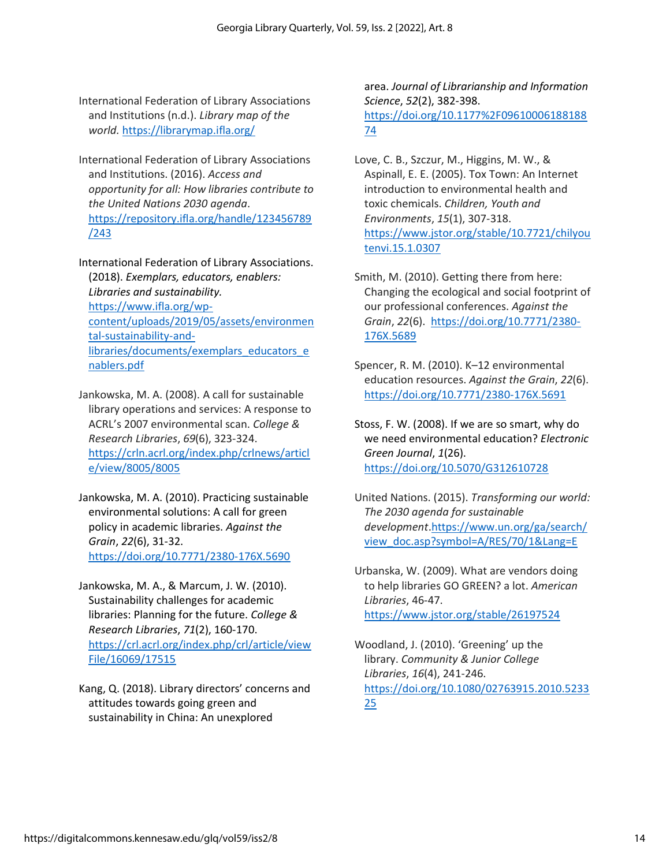International Federation of Library Associations and Institutions (n.d.). *Library map of the world.* <https://librarymap.ifla.org/>

International Federation of Library Associations and Institutions. (2016). *Access and opportunity for all: How libraries contribute to the United Nations 2030 agenda*. [https://repository.ifla.org/handle/123456789](https://repository.ifla.org/handle/123456789/243) [/243](https://repository.ifla.org/handle/123456789/243)

International Federation of Library Associations. (2018). *Exemplars, educators, enablers: Libraries and sustainability.* [https://www.ifla.org/wp](https://www.ifla.org/wp-content/uploads/2019/05/assets/environmental-sustainability-and-libraries/documents/exemplars_educators_enablers.pdf)[content/uploads/2019/05/assets/environmen](https://www.ifla.org/wp-content/uploads/2019/05/assets/environmental-sustainability-and-libraries/documents/exemplars_educators_enablers.pdf) [tal-sustainability-and](https://www.ifla.org/wp-content/uploads/2019/05/assets/environmental-sustainability-and-libraries/documents/exemplars_educators_enablers.pdf)[libraries/documents/exemplars\\_educators\\_e](https://www.ifla.org/wp-content/uploads/2019/05/assets/environmental-sustainability-and-libraries/documents/exemplars_educators_enablers.pdf) [nablers.pdf](https://www.ifla.org/wp-content/uploads/2019/05/assets/environmental-sustainability-and-libraries/documents/exemplars_educators_enablers.pdf)

Jankowska, M. A. (2008). A call for sustainable library operations and services: A response to ACRL's 2007 environmental scan. *College & Research Libraries*, *69*(6), 323-324. [https://crln.acrl.org/index.php/crlnews/articl](https://crln.acrl.org/index.php/crlnews/article/view/8005/8005) [e/view/8005/8005](https://crln.acrl.org/index.php/crlnews/article/view/8005/8005)

Jankowska, M. A. (2010). Practicing sustainable environmental solutions: A call for green policy in academic libraries. *Against the Grain*, *22*(6), 31-32. <https://doi.org/10.7771/2380-176X.5690>

Jankowska, M. A., & Marcum, J. W. (2010). Sustainability challenges for academic libraries: Planning for the future. *College & Research Libraries*, *71*(2), 160-170. [https://crl.acrl.org/index.php/crl/article/view](https://crl.acrl.org/index.php/crl/article/viewFile/16069/17515) [File/16069/17515](https://crl.acrl.org/index.php/crl/article/viewFile/16069/17515)

Kang, Q. (2018). Library directors' concerns and attitudes towards going green and sustainability in China: An unexplored

area. *Journal of Librarianship and Information Science*, *52*(2), 382-398. [https://doi.org/10.1177%2F09610006188188](https://doi.org/10.1177%2F0961000618818874) [74](https://doi.org/10.1177%2F0961000618818874)

Love, C. B., Szczur, M., Higgins, M. W., & Aspinall, E. E. (2005). Tox Town: An Internet introduction to environmental health and toxic chemicals. *Children, Youth and Environments*, *15*(1), 307-318. [https://www.jstor.org/stable/10.7721/chilyou](https://www.jstor.org/stable/10.7721/chilyoutenvi.15.1.0307) [tenvi.15.1.0307](https://www.jstor.org/stable/10.7721/chilyoutenvi.15.1.0307)

Smith, M. (2010). Getting there from here: Changing the ecological and social footprint of our professional conferences. *Against the Grain*, *22*(6). [https://doi.org/10.7771/2380-](https://doi.org/10.7771/2380-176X.5689) [176X.5689](https://doi.org/10.7771/2380-176X.5689)

Spencer, R. M. (2010). K–12 environmental education resources. *Against the Grain*, *22*(6). <https://doi.org/10.7771/2380-176X.5691>

Stoss, F. W. (2008). If we are so smart, why do we need environmental education? *Electronic Green Journal*, *1*(26). <https://doi.org/10.5070/G312610728>

United Nations. (2015). *Transforming our world: The 2030 agenda for sustainable development*[.https://www.un.org/ga/search/](https://www.un.org/ga/search/view_doc.asp?symbol=A/RES/70/1&Lang=E) [view\\_doc.asp?symbol=A/RES/70/1&Lang=E](https://www.un.org/ga/search/view_doc.asp?symbol=A/RES/70/1&Lang=E)

Urbanska, W. (2009). What are vendors doing to help libraries GO GREEN? a lot. *American Libraries*, 46-47. <https://www.jstor.org/stable/26197524>

Woodland, J. (2010). 'Greening' up the library. *Community & Junior College Libraries*, *16*(4), 241-246. [https://doi.org/10.1080/02763915.2010.5233](https://doi.org/10.1080/02763915.2010.523325) [25](https://doi.org/10.1080/02763915.2010.523325)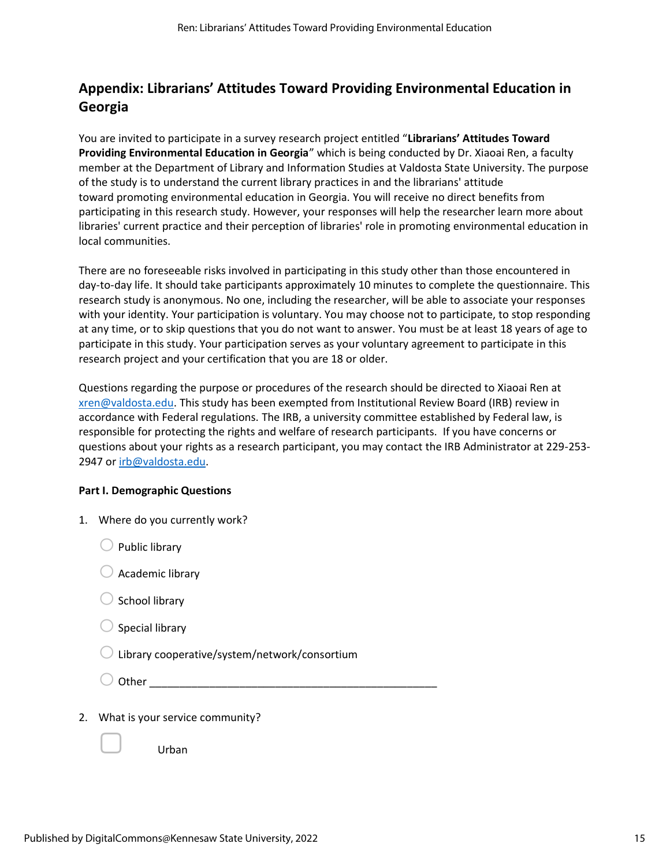## **Appendix: Librarians' Attitudes Toward Providing Environmental Education in Georgia**

You are invited to participate in a survey research project entitled "**Librarians' Attitudes Toward Providing Environmental Education in Georgia**" which is being conducted by Dr. Xiaoai Ren, a faculty member at the Department of Library and Information Studies at Valdosta State University. The purpose of the study is to understand the current library practices in and the librarians' attitude toward promoting environmental education in Georgia. You will receive no direct benefits from participating in this research study. However, your responses will help the researcher learn more about libraries' current practice and their perception of libraries' role in promoting environmental education in local communities.

There are no foreseeable risks involved in participating in this study other than those encountered in day-to-day life. It should take participants approximately 10 minutes to complete the questionnaire. This research study is anonymous. No one, including the researcher, will be able to associate your responses with your identity. Your participation is voluntary. You may choose not to participate, to stop responding at any time, or to skip questions that you do not want to answer. You must be at least 18 years of age to participate in this study. Your participation serves as your voluntary agreement to participate in this research project and your certification that you are 18 or older.

Questions regarding the purpose or procedures of the research should be directed to Xiaoai Ren at [xren@valdosta.edu.](mailto:xren@valdosta.edu) This study has been exempted from Institutional Review Board (IRB) review in accordance with Federal regulations. The IRB, a university committee established by Federal law, is responsible for protecting the rights and welfare of research participants. If you have concerns or questions about your rights as a research participant, you may contact the IRB Administrator at 229-253- 2947 or [irb@valdosta.edu.](mailto:irb@valdosta.edu)

#### **Part I. Demographic Questions**

| 1. | Where do you currently work?                  |
|----|-----------------------------------------------|
|    | <b>Public library</b>                         |
|    | Academic library                              |
|    | School library                                |
|    | Special library                               |
|    | Library cooperative/system/network/consortium |
|    | Other                                         |
| 2. | What is your service community?               |
|    | Urban                                         |
|    |                                               |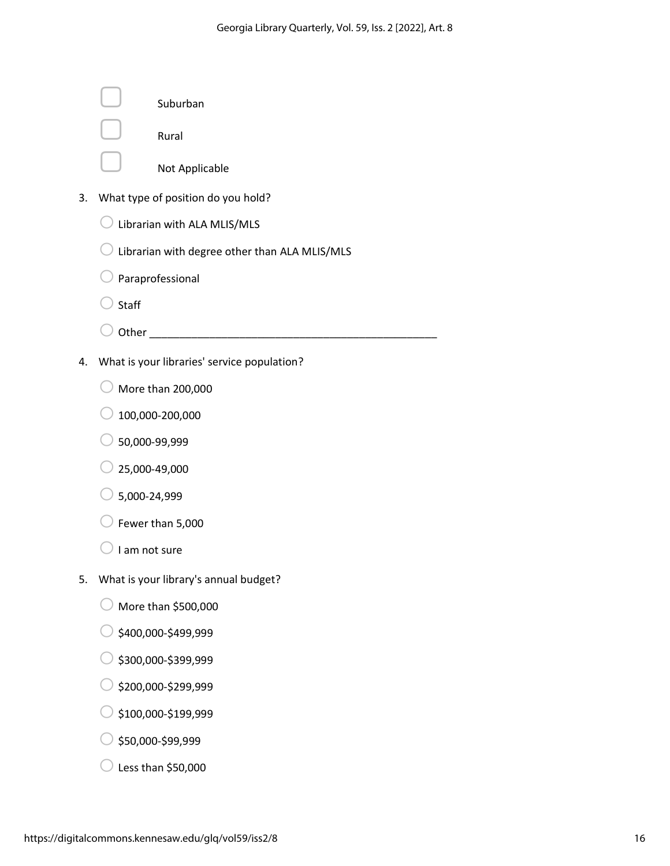|    | Suburban                                      |
|----|-----------------------------------------------|
|    | Rural                                         |
|    | Not Applicable                                |
| 3. | What type of position do you hold?            |
|    | Librarian with ALA MLIS/MLS                   |
|    | Librarian with degree other than ALA MLIS/MLS |
|    | Paraprofessional                              |
|    | Staff                                         |
|    | Other_                                        |
| 4. | What is your libraries' service population?   |
|    | More than 200,000                             |
|    | 100,000-200,000                               |
|    | 50,000-99,999                                 |
|    | 25,000-49,000                                 |
|    | 5,000-24,999                                  |
|    | Fewer than 5,000                              |
|    | I am not sure                                 |
| 5. | What is your library's annual budget?         |
|    | More than \$500,000                           |
|    | \$400,000-\$499,999                           |
|    | \$300,000-\$399,999                           |
|    | \$200,000-\$299,999                           |
|    | \$100,000-\$199,999                           |
|    | \$50,000-\$99,999                             |

 $\bigcirc$  Less than \$50,000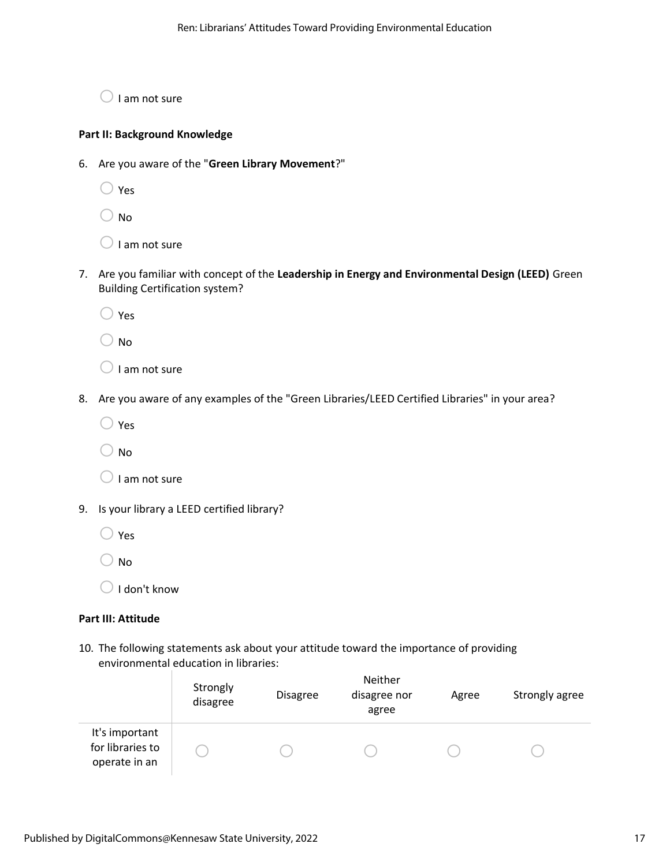$\bigcirc$  I am not sure

#### **Part II: Background Knowledge**

- 6. Are you aware of the "**Green Library Movement**?"
	- $\bigcirc$  Yes
	- $\bigcirc$  No
	- $\bigcirc$  I am not sure
- 7. Are you familiar with concept of the **Leadership in Energy and Environmental Design (LEED)** Green Building Certification system?
	- $\bigcirc$  Yes
	- $\bigcirc$  No
	- $\bigcirc$  I am not sure
- 8. Are you aware of any examples of the "Green Libraries/LEED Certified Libraries" in your area?
	- $\bigcirc$  Yes
	- $\bigcirc$  No
	- $\bigcirc$  I am not sure
- 9. Is your library a LEED certified library?
	- $\bigcirc$  Yes
	- $\bigcirc$  No
	- $\bigcirc$  I don't know

#### **Part III: Attitude**

10. The following statements ask about your attitude toward the importance of providing environmental education in libraries:

|                                                     | Strongly<br>disagree | <b>Disagree</b> | Neither<br>disagree nor<br>agree | Agree | Strongly agree |
|-----------------------------------------------------|----------------------|-----------------|----------------------------------|-------|----------------|
| It's important<br>for libraries to<br>operate in an |                      |                 |                                  |       |                |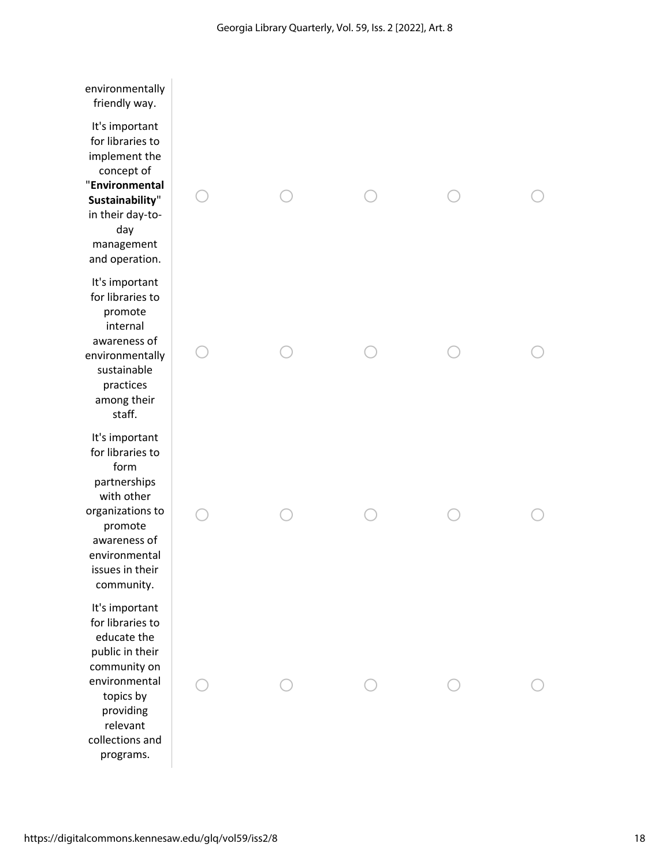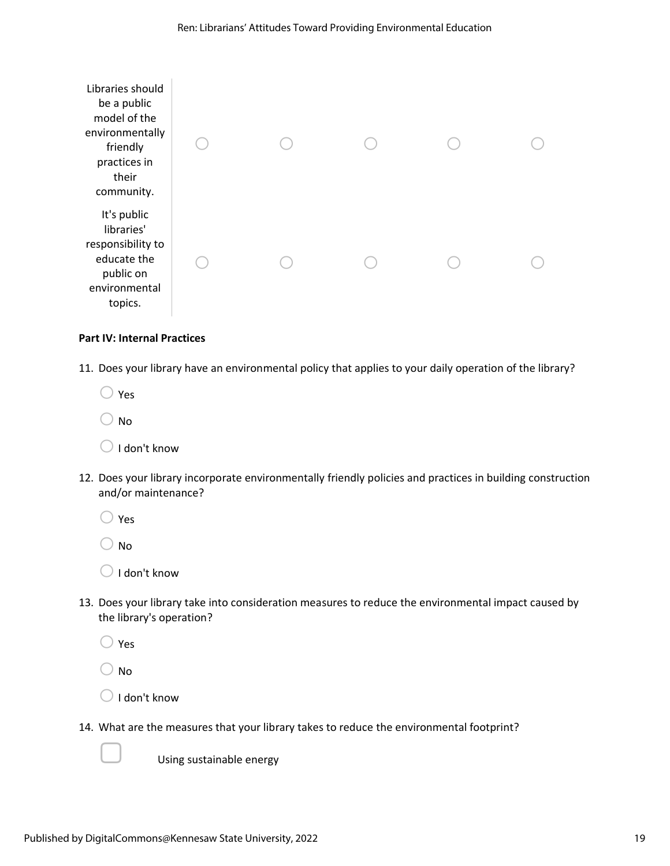

#### **Part IV: Internal Practices**

11. Does your library have an environmental policy that applies to your daily operation of the library?

- $\bigcirc$  Yes
- o No
- $\bigcirc$  I don't know
- 12. Does your library incorporate environmentally friendly policies and practices in building construction and/or maintenance?
	- $\bigcirc$  Yes
	- $\bigcirc$  No
	- $\bigcirc$  I don't know
- 13. Does your library take into consideration measures to reduce the environmental impact caused by the library's operation?
	- $\bigcirc$  Yes
	- $\bigcirc$  No
	- $\bigcirc$  I don't know
- 14. What are the measures that your library takes to reduce the environmental footprint?



Using sustainable energy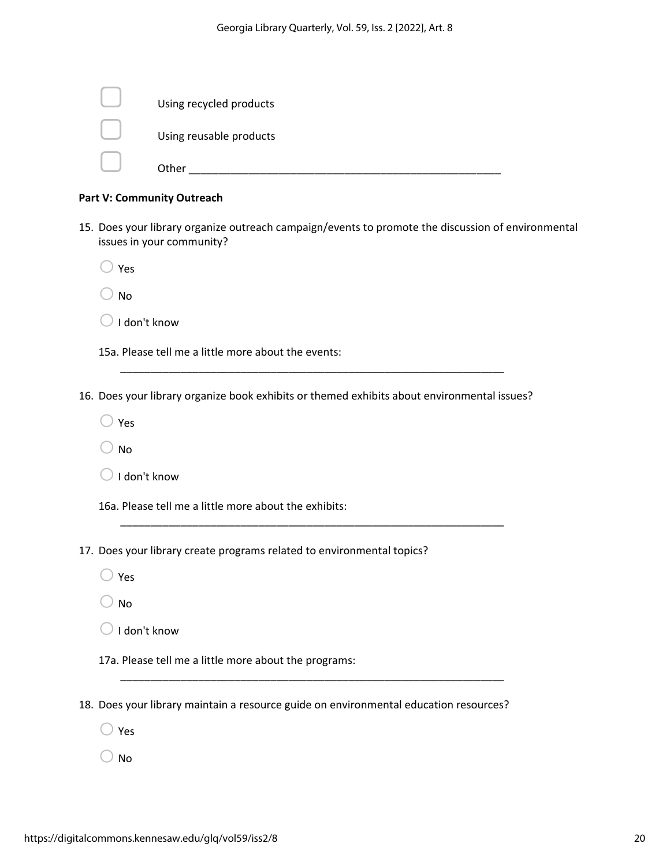| Using recycled products |
|-------------------------|
| Using reusable products |
| Other                   |

#### **Part V: Community Outreach**

- 15. Does your library organize outreach campaign/events to promote the discussion of environmental issues in your community?
	- $\bigcirc$  Yes
	- $\bigcirc$  No
	- $\bigcirc$  I don't know

15a. Please tell me a little more about the events:

16. Does your library organize book exhibits or themed exhibits about environmental issues?

\_\_\_\_\_\_\_\_\_\_\_\_\_\_\_\_\_\_\_\_\_\_\_\_\_\_\_\_\_\_\_\_\_\_\_\_\_\_\_\_\_\_\_\_\_\_\_\_\_\_\_\_\_\_\_\_\_\_\_\_\_\_\_\_

\_\_\_\_\_\_\_\_\_\_\_\_\_\_\_\_\_\_\_\_\_\_\_\_\_\_\_\_\_\_\_\_\_\_\_\_\_\_\_\_\_\_\_\_\_\_\_\_\_\_\_\_\_\_\_\_\_\_\_\_\_\_\_\_

- $\bigcirc$  Yes
- $\bigcirc$  No
- $\bigcirc$  I don't know

16a. Please tell me a little more about the exhibits:

- 17. Does your library create programs related to environmental topics?
	- $\bigcirc$  Yes
	- $\bigcirc$  No
	- $\bigcirc$  I don't know

17a. Please tell me a little more about the programs:

18. Does your library maintain a resource guide on environmental education resources?

\_\_\_\_\_\_\_\_\_\_\_\_\_\_\_\_\_\_\_\_\_\_\_\_\_\_\_\_\_\_\_\_\_\_\_\_\_\_\_\_\_\_\_\_\_\_\_\_\_\_\_\_\_\_\_\_\_\_\_\_\_\_\_\_

- $\bigcirc$  Yes
- $\bigcirc$  No